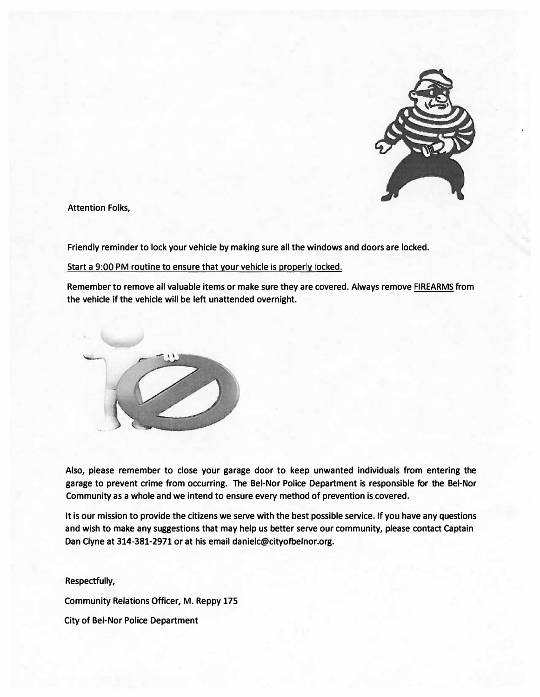

**Attention Folks,** 

**Friendly reminder to lock your vehicle by making sure all the windows and doors are locked.** 

**Start a 9:00 PM routine to ensure that your vehicle is properly locked.** 

**Remember to remove all valuable items or make sure they are covered. Always remove FIREARMS from the vehicle if the vehicle will be left unattended overnight.** 



**Also, please remember to close your garage door to keep unwanted individuals from entering the garage to prevent crime from occurring. The Bel-Nor Police Department is responsible for the Bel-Nor Community as a whole and we intend to ensure every method of prevention is covered.** 

**It is our mission to provide the citizens we serve with the best possible service. If you have any questions and wish to make any suggestions that may help us better serve our community, please contact Captain Dan Clyne at 314-381-2971 or at his email danielc@cityofbelnor.org.** 

**Respectfully, Community Relations Officer, M. Reppy 175 City of Bel-Nor Police Department**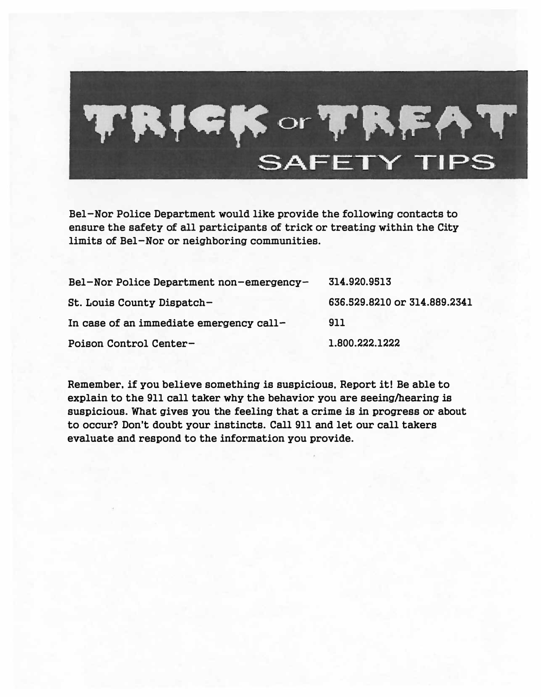

**Bel-Nor Police Department would like provide the following contacts to ensure the safety of all participants of trick or treating within the City limits of Bel-Nor or neighboring communities.** 

| Bel-Nor Police Department non-emergency-<br>St. Louis County Dispatch-<br>In case of an immediate emergency call- | 314.920.9513<br>636.529.8210 or 314.889.2341<br>911 |                        |                |
|-------------------------------------------------------------------------------------------------------------------|-----------------------------------------------------|------------------------|----------------|
|                                                                                                                   |                                                     | Poison Control Center- | 1.800.222.1222 |

**Remember, if you believe something is suspicious, Report it! Be able to explain to the 911 call taker why the behavior you are seeing/hearing is suspicious. What gives you the feeling that a crime is in progress or about to occur? Don't doubt your instincts. Call 911 and let our call takers evaluate and respond to the information you provide.**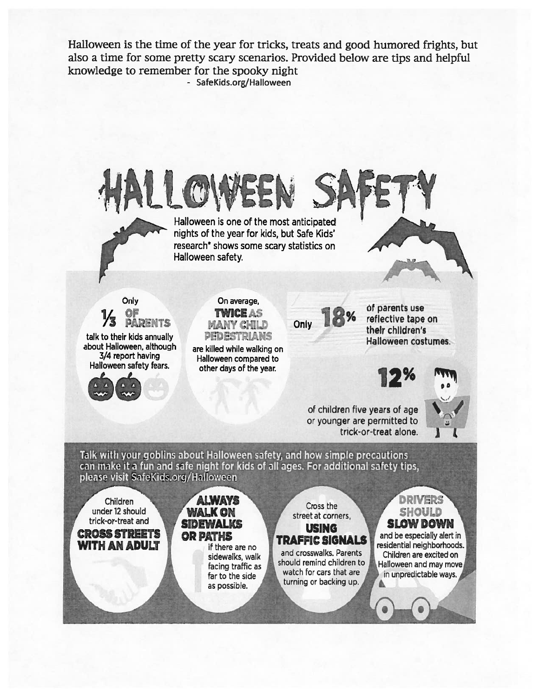Halloween is the time of the year for tricks, treats and good humored frights, but also a time for some pretty scary scenarios. Provided below are tips and helpful knowledge to remember for the spooky night - SafeKids.org/Halloween

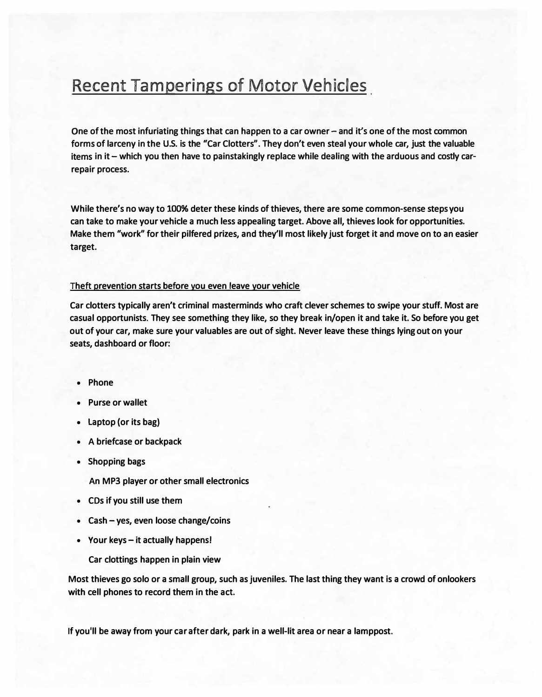# Recent Tamperings of Motor Vehicles

**One of the most infuriating things that can happen to a car owner- and it's one of the most common forms of larceny in the U.S. is the "Car Clotters". They don't even steal your whole car, just the valuable items in it - which you then have to painstakingly replace while dealing with the arduous and costly carrepair process.** 

**While there's no way to 100% deter these kinds of thieves, there are some common-sense steps you can take to make your vehicle a much less appealing target. Above all, thieves look for opportunities. Make them "work" for their pilfered prizes, and they'll most likely just forget it and move on to an easier target.** 

## **Theft prevention starts before you even leave your vehicle**

**Car clotters typically aren't criminal masterminds who craft clever schemes to swipe your stuff. Most are casual opportunists. They see something they like, so they break in/open it and take it. So before you get out of your car, make sure your valuables are out of sight. Never leave these things lying out on your seats, dashboard or floor:** 

- **Phone**
- **Purse or wallet**
- **Laptop (or its bag)**
- **A briefcase or backpack**
- **Shopping bags**

**An MP3 player or other small electronics** 

- **CDs if you still use them**
- **Cash -yes, even loose change/coins**
- **Your keys -it actually happens!**

**Car clottings happen in plain view** 

**Most thieves go solo or a small group, such as juveniles. The last thing they want is a crowd of onlookers with cell phones to record them in the act.** 

**If you'll be away from your car after dark, park in a well-lit area or near a lamppost.**